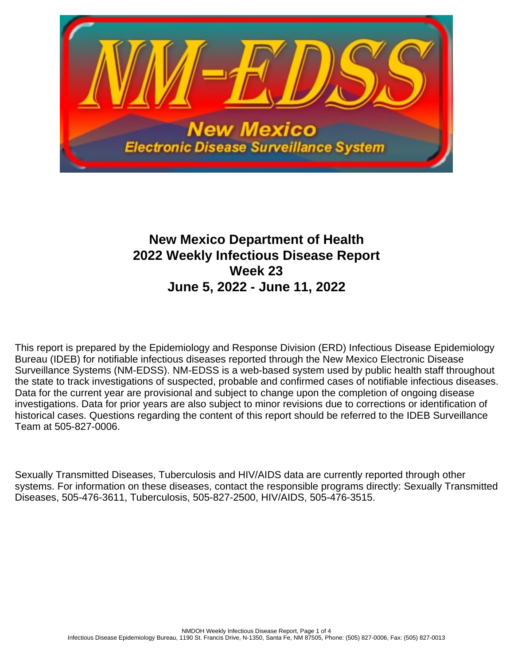

# **New Mexico Department of Health 2022 Weekly Infectious Disease Report Week 23 June 5, 2022 - June 11, 2022**

This report is prepared by the Epidemiology and Response Division (ERD) Infectious Disease Epidemiology Bureau (IDEB) for notifiable infectious diseases reported through the New Mexico Electronic Disease Surveillance Systems (NM-EDSS). NM-EDSS is a web-based system used by public health staff throughout the state to track investigations of suspected, probable and confirmed cases of notifiable infectious diseases. Data for the current year are provisional and subject to change upon the completion of ongoing disease investigations. Data for prior years are also subject to minor revisions due to corrections or identification of historical cases. Questions regarding the content of this report should be referred to the IDEB Surveillance Team at 505-827-0006.

Sexually Transmitted Diseases, Tuberculosis and HIV/AIDS data are currently reported through other systems. For information on these diseases, contact the responsible programs directly: Sexually Transmitted Diseases, 505-476-3611, Tuberculosis, 505-827-2500, HIV/AIDS, 505-476-3515.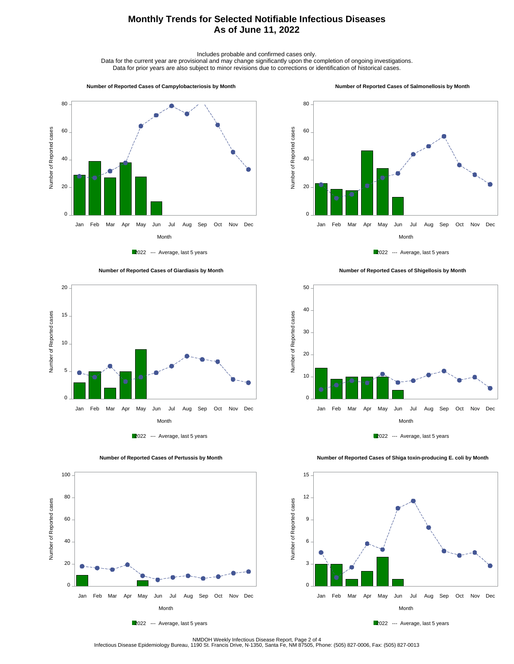## **Monthly Trends for Selected Notifiable Infectious Diseases As of June 11, 2022**

Includes probable and confirmed cases only.

Data for the current year are provisional and may change significantly upon the completion of ongoing investigations. Data for prior years are also subject to minor revisions due to corrections or identification of historical cases.

60

80

#### **Number of Reported Cases of Campylobacteriosis by Month**

#### **Number of Reported Cases of Salmonellosis by Month**



2022 --- Average, last 5 years







 **Number of Reported Cases of Shigellosis by Month**





Number of Reported cases

Number of Reported cases

0

20

40

60

80

100

 **Number of Reported Cases of Shiga toxin-producing E. coli by Month**





Month Jan Feb Mar Apr May Jun Jul Aug Sep Oct Nov Dec

NMDOH Weekly Infectious Disease Report, Page 2 of 4<br>Infectious Disease Epidemiology Bureau, 1190 St. Francis Drive, N-1350, Santa Fe, NM 87505, Phone: (505) 827-0006, Fax: (505) 827-0013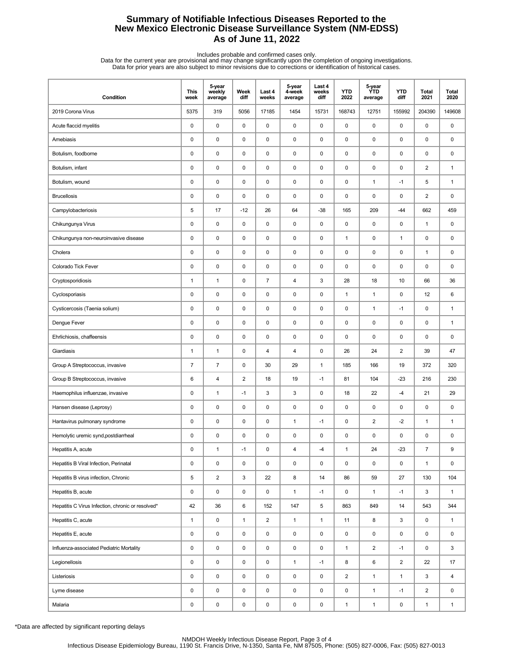## **Summary of Notifiable Infectious Diseases Reported to the New Mexico Electronic Disease Surveillance System (NM-EDSS) As of June 11, 2022**

Includes probable and confirmed cases only.<br>Data for the current year are provisional and may change significantly upon the completion of ongoing investigations.<br>Data for prior years are also subject to minor revisions due

| Condition                                         | This<br>week   | 5-year<br>weekly<br>average | Week<br>diff   | Last 4<br>weeks | 5-year<br>4-week<br>average | Last 4<br>weeks<br>diff | <b>YTD</b><br>2022      | 5-year<br><b>YTD</b><br>average | <b>YTD</b><br>diff      | Total<br>2021           | Total<br>2020 |
|---------------------------------------------------|----------------|-----------------------------|----------------|-----------------|-----------------------------|-------------------------|-------------------------|---------------------------------|-------------------------|-------------------------|---------------|
| 2019 Corona Virus                                 | 5375           | 319                         | 5056           | 17185           | 1454                        | 15731                   | 168743                  | 12751                           | 155992                  | 204390                  | 149608        |
| Acute flaccid myelitis                            | 0              | $\mathbf 0$                 | 0              | 0               | 0                           | 0                       | $\pmb{0}$               | 0                               | 0                       | 0                       | 0             |
| Amebiasis                                         | 0              | $\mathbf 0$                 | $\pmb{0}$      | 0               | 0                           | $\pmb{0}$               | $\pmb{0}$               | 0                               | $\pmb{0}$               | 0                       | 0             |
| Botulism, foodborne                               | 0              | $\mathbf 0$                 | 0              | 0               | 0                           | 0                       | $\pmb{0}$               | 0                               | $\pmb{0}$               | 0                       | 0             |
| Botulism, infant                                  | 0              | $\pmb{0}$                   | $\pmb{0}$      | $\mathsf 0$     | 0                           | $\pmb{0}$               | $\pmb{0}$               | $\mathsf 0$                     | $\pmb{0}$               | $\overline{2}$          | $\mathbf{1}$  |
| Botulism, wound                                   | 0              | $\pmb{0}$                   | 0              | 0               | 0                           | 0                       | 0                       | $\mathbf{1}$                    | $-1$                    | 5                       | 1             |
| <b>Brucellosis</b>                                | 0              | $\pmb{0}$                   | $\pmb{0}$      | 0               | 0                           | 0                       | $\pmb{0}$               | 0                               | 0                       | $\overline{2}$          | 0             |
| Campylobacteriosis                                | 5              | 17                          | $-12$          | 26              | 64                          | $-38$                   | 165                     | 209                             | $-44$                   | 662                     | 459           |
| Chikungunya Virus                                 | 0              | $\pmb{0}$                   | $\pmb{0}$      | 0               | 0                           | 0                       | $\pmb{0}$               | 0                               | 0                       | 1                       | 0             |
| Chikungunya non-neuroinvasive disease             | 0              | $\mathbf 0$                 | 0              | 0               | 0                           | 0                       | $\mathbf{1}$            | 0                               | 1                       | 0                       | 0             |
| Cholera                                           | 0              | $\pmb{0}$                   | 0              | 0               | 0                           | 0                       | 0                       | 0                               | $\pmb{0}$               | 1                       | 0             |
| Colorado Tick Fever                               | 0              | $\pmb{0}$                   | 0              | 0               | 0                           | 0                       | $\pmb{0}$               | 0                               | 0                       | 0                       | 0             |
| Cryptosporidiosis                                 | $\mathbf{1}$   | $\mathbf{1}$                | $\pmb{0}$      | $\overline{7}$  | 4                           | 3                       | 28                      | 18                              | 10                      | 66                      | 36            |
| Cyclosporiasis                                    | 0              | $\mathbf 0$                 | 0              | 0               | 0                           | $\mathbf 0$             | $\mathbf{1}$            | $\mathbf{1}$                    | 0                       | 12                      | 6             |
| Cysticercosis (Taenia solium)                     | 0              | $\pmb{0}$                   | $\pmb{0}$      | $\mathsf 0$     | 0                           | $\pmb{0}$               | $\pmb{0}$               | $\mathbf{1}$                    | $-1$                    | 0                       | $\mathbf{1}$  |
| Dengue Fever                                      | 0              | $\pmb{0}$                   | 0              | 0               | 0                           | 0                       | 0                       | 0                               | $\pmb{0}$               | 0                       | $\mathbf{1}$  |
| Ehrlichiosis, chaffeensis                         | 0              | $\pmb{0}$                   | $\pmb{0}$      | 0               | 0                           | $\pmb{0}$               | $\pmb{0}$               | 0                               | 0                       | 0                       | 0             |
| Giardiasis                                        | $\mathbf{1}$   | $\mathbf{1}$                | 0              | 4               | 4                           | 0                       | 26                      | 24                              | $\overline{\mathbf{c}}$ | 39                      | 47            |
| Group A Streptococcus, invasive                   | $\overline{7}$ | $\overline{7}$              | 0              | 30              | 29                          | $\mathbf{1}$            | 185                     | 166                             | 19                      | 372                     | 320           |
| Group B Streptococcus, invasive                   | 6              | 4                           | $\overline{2}$ | 18              | 19                          | $-1$                    | 81                      | 104                             | $-23$                   | 216                     | 230           |
| Haemophilus influenzae, invasive                  | 0              | $\mathbf{1}$                | $-1$           | 3               | 3                           | 0                       | 18                      | 22                              | $-4$                    | 21                      | 29            |
| Hansen disease (Leprosy)                          | 0              | $\pmb{0}$                   | 0              | 0               | 0                           | 0                       | $\pmb{0}$               | 0                               | 0                       | 0                       | 0             |
| Hantavirus pulmonary syndrome                     | 0              | $\pmb{0}$                   | 0              | 0               | $\mathbf{1}$                | $-1$                    | $\pmb{0}$               | $\overline{2}$                  | $-2$                    | 1                       | $\mathbf{1}$  |
| Hemolytic uremic synd, postdiarrheal              | 0              | $\pmb{0}$                   | 0              | 0               | 0                           | 0                       | $\pmb{0}$               | 0                               | 0                       | 0                       | 0             |
| Hepatitis A, acute                                | $\mathbf 0$    | $\mathbf{1}$                | -1             | $\mathbf 0$     | $\overline{4}$              | $-4$                    | $\mathbf{1}$            | 24                              | $-23$                   | $\overline{7}$          | 9             |
| Hepatitis B Viral Infection, Perinatal            | 0              | $\pmb{0}$                   | $\pmb{0}$      | $\mathsf 0$     | $\pmb{0}$                   | $\pmb{0}$               | $\pmb{0}$               | $\mathsf 0$                     | 0                       | $\mathbf{1}$            | 0             |
| Hepatitis B virus infection, Chronic              | 5              | $\overline{2}$              | 3              | 22              | 8                           | 14                      | 86                      | 59                              | 27                      | 130                     | 104           |
| Hepatitis B, acute                                | 0              | $\pmb{0}$                   | 0              | 0               | $\mathbf{1}$                | $-1$                    | 0                       | $\mathbf{1}$                    | $-1$                    | 3                       | $\mathbf{1}$  |
| Hepatitis C Virus Infection, chronic or resolved* | 42             | 36                          | 6              | 152             | 147                         | 5                       | 863                     | 849                             | 14                      | 543                     | 344           |
| Hepatitis C, acute                                | $\mathbf{1}$   | $\pmb{0}$                   | $\mathbf{1}$   | 2               | $\mathbf{1}$                | $\mathbf{1}$            | 11                      | 8                               | 3                       | 0                       | $\mathbf{1}$  |
| Hepatitis E, acute                                | 0              | $\pmb{0}$                   | 0              | 0               | 0                           | $\mathsf 0$             | 0                       | 0                               | 0                       | 0                       | $\mathsf 0$   |
| Influenza-associated Pediatric Mortality          | 0              | $\pmb{0}$                   | 0              | 0               | $\mathsf 0$                 | $\mathbf 0$             | $\mathbf{1}$            | $\overline{2}$                  | $-1$                    | 0                       | 3             |
| Legionellosis                                     | 0              | $\pmb{0}$                   | 0              | 0               | $\mathbf{1}$                | $-1$                    | 8                       | 6                               | $\overline{2}$          | 22                      | 17            |
| Listeriosis                                       | 0              | $\pmb{0}$                   | 0              | 0               | $\mathsf 0$                 | $\mathsf 0$             | $\overline{\mathbf{c}}$ | $\mathbf{1}$                    | $\mathbf{1}$            | 3                       | 4             |
| Lyme disease                                      | 0              | $\pmb{0}$                   | 0              | $\pmb{0}$       | 0                           | $\mathsf 0$             | $\pmb{0}$               | $\mathbf{1}$                    | $-1$                    | $\overline{\mathbf{c}}$ | 0             |
| Malaria                                           | 0              | $\pmb{0}$                   | $\pmb{0}$      | $\pmb{0}$       | $\pmb{0}$                   | 0                       | $\mathbf{1}$            | $\mathbf{1}$                    | $\pmb{0}$               | $\mathbf{1}$            | $\mathbf{1}$  |

\*Data are affected by significant reporting delays